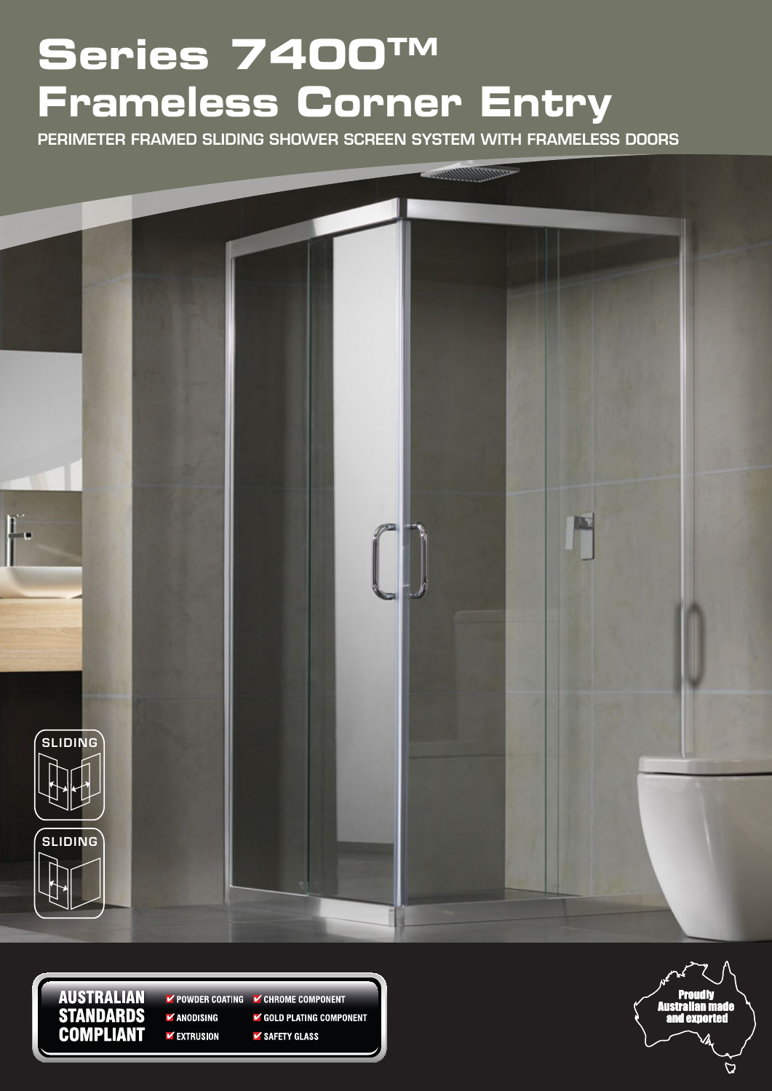# **Series 7400TM Frameless Corner Entry**

PERIMETER FRAMED SLIDING SHOWER SCREEN SYSTEM WITH FRAMELESS DOORS



**AUSTRALIAN STANDARDS COMPLIANT** 

POWDER COATING CHROME COMPONENT  $\blacktriangleright$  ANODISING GOLD PLATING COMPONENT **VEXTRUSION** ✔ SAFETY GLASS

and exi

 $\overline{D}$